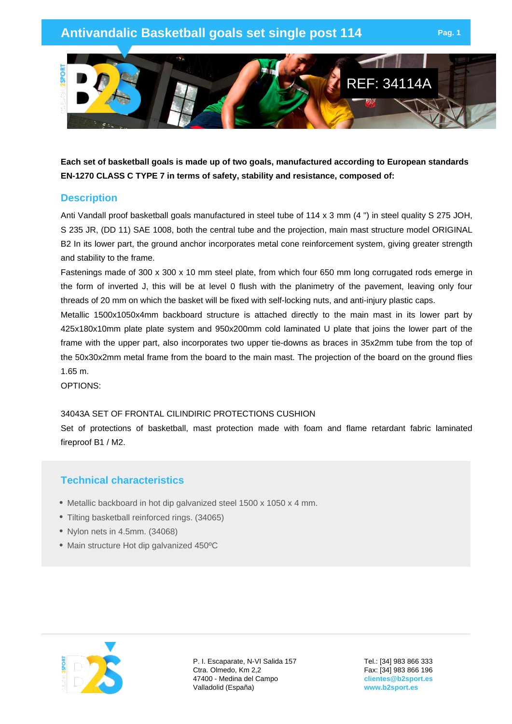## **Antivandalic Basketball goals set single post 114**



**Each set of basketball goals is made up of two goals, manufactured according to European standards EN-1270 CLASS C TYPE 7 in terms of safety, stability and resistance, composed of:**

#### **Description**

Anti Vandall proof basketball goals manufactured in steel tube of 114 x 3 mm (4 ") in steel quality S 275 JOH, S 235 JR, (DD 11) SAE 1008, both the central tube and the projection, main mast structure model ORIGINAL B2 In its lower part, the ground anchor incorporates metal cone reinforcement system, giving greater strength and stability to the frame.

Fastenings made of 300 x 300 x 10 mm steel plate, from which four 650 mm long corrugated rods emerge in the form of inverted J, this will be at level 0 flush with the planimetry of the pavement, leaving only four threads of 20 mm on which the basket will be fixed with self-locking nuts, and anti-injury plastic caps.

Metallic 1500x1050x4mm backboard structure is attached directly to the main mast in its lower part by 425x180x10mm plate plate system and 950x200mm cold laminated U plate that joins the lower part of the frame with the upper part, also incorporates two upper tie-downs as braces in 35x2mm tube from the top of the 50x30x2mm metal frame from the board to the main mast. The projection of the board on the ground flies 1.65 m.

OPTIONS:

#### 34043A SET OF FRONTAL CILINDIRIC PROTECTIONS CUSHION

Set of protections of basketball, mast protection made with foam and flame retardant fabric laminated fireproof B1 / M2.

### **Technical characteristics**

- Metallic backboard in hot dip galvanized steel 1500 x 1050 x 4 mm.
- Tilting basketball reinforced rings. (34065)
- Nylon nets in 4.5mm. (34068)
- Main structure Hot dip galvanized 450ºC



P. I. Escaparate, N-VI Salida 157 Ctra. Olmedo, Km 2,2 47400 - Medina del Campo Valladolid (España)

Tel.: [34] 983 866 333 Fax: [34] 983 866 196 **clientes@b2sport.es www.b2sport.es**

**Pag. 1**